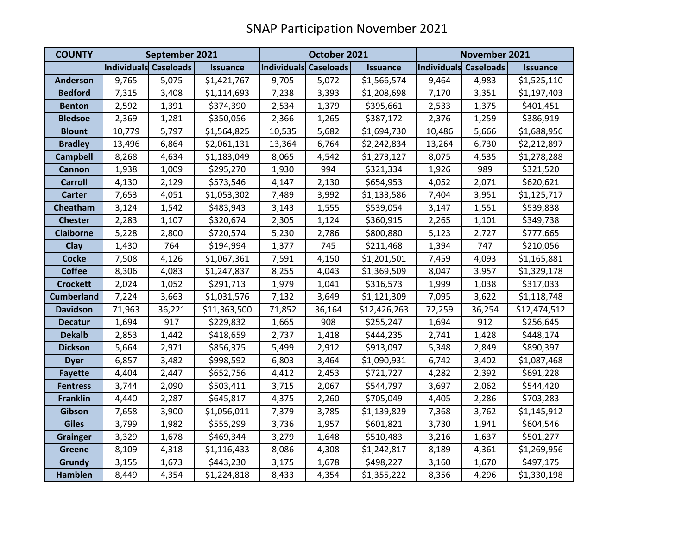| <b>COUNTY</b>     | September 2021               |        |                 | October 2021                 |        |                 | November 2021         |        |                 |
|-------------------|------------------------------|--------|-----------------|------------------------------|--------|-----------------|-----------------------|--------|-----------------|
|                   | <b>Individuals Caseloads</b> |        | <b>Issuance</b> | <b>Individuals Caseloads</b> |        | <b>Issuance</b> | Individuals Caseloads |        | <b>Issuance</b> |
| <b>Anderson</b>   | 9,765                        | 5,075  | \$1,421,767     | 9,705                        | 5,072  | \$1,566,574     | 9,464                 | 4,983  | \$1,525,110     |
| <b>Bedford</b>    | 7,315                        | 3,408  | \$1,114,693     | 7,238                        | 3,393  | \$1,208,698     | 7,170                 | 3,351  | \$1,197,403     |
| <b>Benton</b>     | 2,592                        | 1,391  | \$374,390       | 2,534                        | 1,379  | \$395,661       | 2,533                 | 1,375  | \$401,451       |
| <b>Bledsoe</b>    | 2,369                        | 1,281  | \$350,056       | 2,366                        | 1,265  | \$387,172       | 2,376                 | 1,259  | \$386,919       |
| <b>Blount</b>     | 10,779                       | 5,797  | \$1,564,825     | 10,535                       | 5,682  | \$1,694,730     | 10,486                | 5,666  | \$1,688,956     |
| <b>Bradley</b>    | 13,496                       | 6,864  | \$2,061,131     | 13,364                       | 6,764  | \$2,242,834     | 13,264                | 6,730  | \$2,212,897     |
| <b>Campbell</b>   | 8,268                        | 4,634  | \$1,183,049     | 8,065                        | 4,542  | \$1,273,127     | 8,075                 | 4,535  | \$1,278,288     |
| <b>Cannon</b>     | 1,938                        | 1,009  | \$295,270       | 1,930                        | 994    | \$321,334       | 1,926                 | 989    | \$321,520       |
| <b>Carroll</b>    | 4,130                        | 2,129  | \$573,546       | 4,147                        | 2,130  | \$654,953       | 4,052                 | 2,071  | \$620,621       |
| <b>Carter</b>     | 7,653                        | 4,051  | \$1,053,302     | 7,489                        | 3,992  | \$1,133,586     | 7,404                 | 3,951  | \$1,125,717     |
| Cheatham          | 3,124                        | 1,542  | \$483,943       | 3,143                        | 1,555  | \$539,054       | 3,147                 | 1,551  | \$539,838       |
| <b>Chester</b>    | 2,283                        | 1,107  | \$320,674       | 2,305                        | 1,124  | \$360,915       | 2,265                 | 1,101  | \$349,738       |
| <b>Claiborne</b>  | 5,228                        | 2,800  | \$720,574       | 5,230                        | 2,786  | \$800,880       | 5,123                 | 2,727  | \$777,665       |
| Clay              | 1,430                        | 764    | \$194,994       | 1,377                        | 745    | \$211,468       | 1,394                 | 747    | \$210,056       |
| <b>Cocke</b>      | 7,508                        | 4,126  | \$1,067,361     | 7,591                        | 4,150  | \$1,201,501     | 7,459                 | 4,093  | \$1,165,881     |
| <b>Coffee</b>     | 8,306                        | 4,083  | \$1,247,837     | 8,255                        | 4,043  | \$1,369,509     | 8,047                 | 3,957  | \$1,329,178     |
| <b>Crockett</b>   | 2,024                        | 1,052  | \$291,713       | 1,979                        | 1,041  | \$316,573       | 1,999                 | 1,038  | \$317,033       |
| <b>Cumberland</b> | 7,224                        | 3,663  | \$1,031,576     | 7,132                        | 3,649  | \$1,121,309     | 7,095                 | 3,622  | \$1,118,748     |
| <b>Davidson</b>   | 71,963                       | 36,221 | \$11,363,500    | 71,852                       | 36,164 | \$12,426,263    | 72,259                | 36,254 | \$12,474,512    |
| <b>Decatur</b>    | 1,694                        | 917    | \$229,832       | 1,665                        | 908    | \$255,247       | 1,694                 | 912    | \$256,645       |
| <b>Dekalb</b>     | 2,853                        | 1,442  | \$418,659       | 2,737                        | 1,418  | \$444,235       | 2,741                 | 1,428  | \$448,174       |
| <b>Dickson</b>    | 5,664                        | 2,971  | \$856,375       | 5,499                        | 2,912  | \$913,097       | 5,348                 | 2,849  | \$890,397       |
| <b>Dyer</b>       | 6,857                        | 3,482  | \$998,592       | 6,803                        | 3,464  | \$1,090,931     | 6,742                 | 3,402  | \$1,087,468     |
| <b>Fayette</b>    | 4,404                        | 2,447  | \$652,756       | 4,412                        | 2,453  | \$721,727       | 4,282                 | 2,392  | \$691,228       |
| <b>Fentress</b>   | 3,744                        | 2,090  | \$503,411       | 3,715                        | 2,067  | \$544,797       | 3,697                 | 2,062  | \$544,420       |
| <b>Franklin</b>   | 4,440                        | 2,287  | \$645,817       | 4,375                        | 2,260  | \$705,049       | 4,405                 | 2,286  | \$703,283       |
| Gibson            | 7,658                        | 3,900  | \$1,056,011     | 7,379                        | 3,785  | \$1,139,829     | 7,368                 | 3,762  | \$1,145,912     |
| <b>Giles</b>      | 3,799                        | 1,982  | \$555,299       | 3,736                        | 1,957  | \$601,821       | 3,730                 | 1,941  | \$604,546       |
| <b>Grainger</b>   | 3,329                        | 1,678  | \$469,344       | 3,279                        | 1,648  | \$510,483       | 3,216                 | 1,637  | \$501,277       |
| <b>Greene</b>     | 8,109                        | 4,318  | \$1,116,433     | 8,086                        | 4,308  | \$1,242,817     | 8,189                 | 4,361  | \$1,269,956     |
| Grundy            | 3,155                        | 1,673  | \$443,230       | 3,175                        | 1,678  | \$498,227       | 3,160                 | 1,670  | \$497,175       |
| Hamblen           | 8,449                        | 4,354  | \$1,224,818     | 8,433                        | 4,354  | \$1,355,222     | 8,356                 | 4,296  | \$1,330,198     |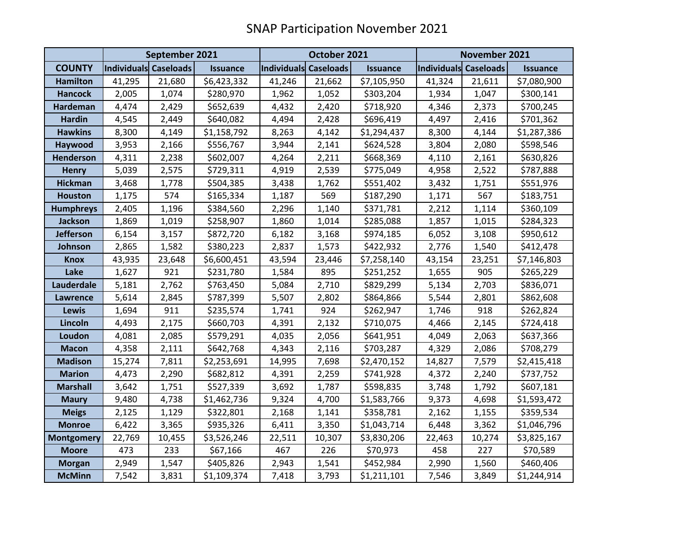|                   | September 2021        |        |                 | October 2021          |        |                 | November 2021         |        |                 |
|-------------------|-----------------------|--------|-----------------|-----------------------|--------|-----------------|-----------------------|--------|-----------------|
| <b>COUNTY</b>     | Individuals Caseloads |        | <b>Issuance</b> | Individuals Caseloads |        | <b>Issuance</b> | Individuals Caseloads |        | <b>Issuance</b> |
| <b>Hamilton</b>   | 41,295                | 21,680 | \$6,423,332     | 41,246                | 21,662 | \$7,105,950     | 41,324                | 21,611 | \$7,080,900     |
| <b>Hancock</b>    | 2,005                 | 1,074  | \$280,970       | 1,962                 | 1,052  | \$303,204       | 1,934                 | 1,047  | \$300,141       |
| Hardeman          | 4,474                 | 2,429  | \$652,639       | 4,432                 | 2,420  | \$718,920       | 4,346                 | 2,373  | \$700,245       |
| <b>Hardin</b>     | 4,545                 | 2,449  | \$640,082       | 4,494                 | 2,428  | \$696,419       | 4,497                 | 2,416  | \$701,362       |
| <b>Hawkins</b>    | 8,300                 | 4,149  | \$1,158,792     | 8,263                 | 4,142  | \$1,294,437     | 8,300                 | 4,144  | \$1,287,386     |
| Haywood           | 3,953                 | 2,166  | \$556,767       | 3,944                 | 2,141  | \$624,528       | 3,804                 | 2,080  | \$598,546       |
| <b>Henderson</b>  | 4,311                 | 2,238  | \$602,007       | 4,264                 | 2,211  | \$668,369       | 4,110                 | 2,161  | \$630,826       |
| <b>Henry</b>      | 5,039                 | 2,575  | \$729,311       | 4,919                 | 2,539  | \$775,049       | 4,958                 | 2,522  | \$787,888       |
| <b>Hickman</b>    | 3,468                 | 1,778  | \$504,385       | 3,438                 | 1,762  | \$551,402       | 3,432                 | 1,751  | \$551,976       |
| <b>Houston</b>    | 1,175                 | 574    | \$165,334       | 1,187                 | 569    | \$187,290       | 1,171                 | 567    | \$183,751       |
| <b>Humphreys</b>  | 2,405                 | 1,196  | \$384,560       | 2,296                 | 1,140  | \$371,781       | 2,212                 | 1,114  | \$360,109       |
| <b>Jackson</b>    | 1,869                 | 1,019  | \$258,907       | 1,860                 | 1,014  | \$285,088       | 1,857                 | 1,015  | \$284,323       |
| <b>Jefferson</b>  | 6,154                 | 3,157  | \$872,720       | 6,182                 | 3,168  | \$974,185       | 6,052                 | 3,108  | \$950,612       |
| Johnson           | 2,865                 | 1,582  | \$380,223       | 2,837                 | 1,573  | \$422,932       | 2,776                 | 1,540  | \$412,478       |
| <b>Knox</b>       | 43,935                | 23,648 | \$6,600,451     | 43,594                | 23,446 | \$7,258,140     | 43,154                | 23,251 | \$7,146,803     |
| Lake              | 1,627                 | 921    | \$231,780       | 1,584                 | 895    | \$251,252       | 1,655                 | 905    | \$265,229       |
| Lauderdale        | 5,181                 | 2,762  | \$763,450       | 5,084                 | 2,710  | \$829,299       | 5,134                 | 2,703  | \$836,071       |
| Lawrence          | 5,614                 | 2,845  | \$787,399       | 5,507                 | 2,802  | \$864,866       | 5,544                 | 2,801  | \$862,608       |
| Lewis             | 1,694                 | 911    | \$235,574       | 1,741                 | 924    | \$262,947       | 1,746                 | 918    | \$262,824       |
| Lincoln           | 4,493                 | 2,175  | \$660,703       | 4,391                 | 2,132  | \$710,075       | 4,466                 | 2,145  | \$724,418       |
| Loudon            | 4,081                 | 2,085  | \$579,291       | 4,035                 | 2,056  | \$641,951       | 4,049                 | 2,063  | \$637,366       |
| <b>Macon</b>      | 4,358                 | 2,111  | \$642,768       | 4,343                 | 2,116  | \$703,287       | 4,329                 | 2,086  | \$708,279       |
| <b>Madison</b>    | 15,274                | 7,811  | \$2,253,691     | 14,995                | 7,698  | \$2,470,152     | 14,827                | 7,579  | \$2,415,418     |
| <b>Marion</b>     | 4,473                 | 2,290  | \$682,812       | 4,391                 | 2,259  | \$741,928       | 4,372                 | 2,240  | \$737,752       |
| <b>Marshall</b>   | 3,642                 | 1,751  | \$527,339       | 3,692                 | 1,787  | \$598,835       | 3,748                 | 1,792  | \$607,181       |
| <b>Maury</b>      | 9,480                 | 4,738  | \$1,462,736     | 9,324                 | 4,700  | \$1,583,766     | 9,373                 | 4,698  | \$1,593,472     |
| <b>Meigs</b>      | 2,125                 | 1,129  | \$322,801       | 2,168                 | 1,141  | \$358,781       | 2,162                 | 1,155  | \$359,534       |
| <b>Monroe</b>     | 6,422                 | 3,365  | \$935,326       | 6,411                 | 3,350  | \$1,043,714     | 6,448                 | 3,362  | \$1,046,796     |
| <b>Montgomery</b> | 22,769                | 10,455 | \$3,526,246     | 22,511                | 10,307 | \$3,830,206     | 22,463                | 10,274 | \$3,825,167     |
| <b>Moore</b>      | 473                   | 233    | \$67,166        | 467                   | 226    | \$70,973        | 458                   | 227    | \$70,589        |
| <b>Morgan</b>     | 2,949                 | 1,547  | \$405,826       | 2,943                 | 1,541  | \$452,984       | 2,990                 | 1,560  | \$460,406       |
| <b>McMinn</b>     | 7,542                 | 3,831  | \$1,109,374     | 7,418                 | 3,793  | \$1,211,101     | 7,546                 | 3,849  | \$1,244,914     |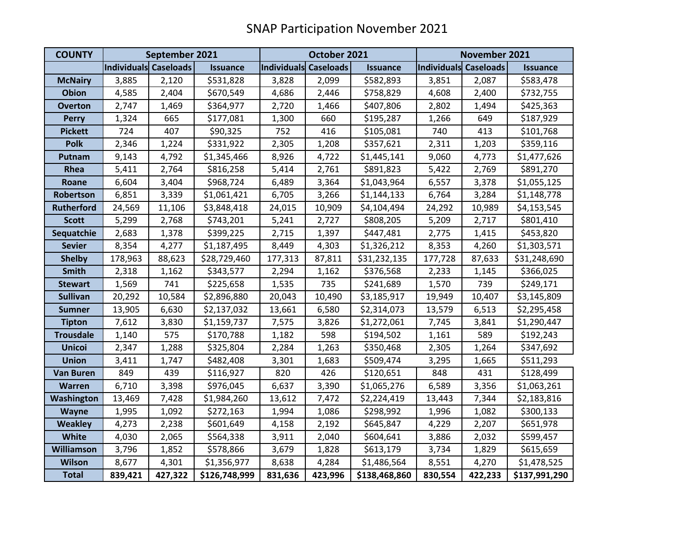| <b>COUNTY</b>     | September 2021        |         |                 | October 2021          |         |                 | November 2021         |         |                 |
|-------------------|-----------------------|---------|-----------------|-----------------------|---------|-----------------|-----------------------|---------|-----------------|
|                   | Individuals Caseloads |         | <b>Issuance</b> | Individuals Caseloads |         | <b>Issuance</b> | Individuals Caseloads |         | <b>Issuance</b> |
| <b>McNairy</b>    | 3,885                 | 2,120   | \$531,828       | 3,828                 | 2,099   | \$582,893       | 3,851                 | 2,087   | \$583,478       |
| <b>Obion</b>      | 4,585                 | 2,404   | \$670,549       | 4,686                 | 2,446   | \$758,829       | 4,608                 | 2,400   | \$732,755       |
| <b>Overton</b>    | 2,747                 | 1,469   | \$364,977       | 2,720                 | 1,466   | \$407,806       | 2,802                 | 1,494   | \$425,363       |
| <b>Perry</b>      | 1,324                 | 665     | \$177,081       | 1,300                 | 660     | \$195,287       | 1,266                 | 649     | \$187,929       |
| <b>Pickett</b>    | 724                   | 407     | \$90,325        | 752                   | 416     | \$105,081       | 740                   | 413     | \$101,768       |
| <b>Polk</b>       | 2,346                 | 1,224   | \$331,922       | 2,305                 | 1,208   | \$357,621       | 2,311                 | 1,203   | \$359,116       |
| Putnam            | 9,143                 | 4,792   | \$1,345,466     | 8,926                 | 4,722   | \$1,445,141     | 9,060                 | 4,773   | \$1,477,626     |
| Rhea              | 5,411                 | 2,764   | \$816,258       | 5,414                 | 2,761   | \$891,823       | 5,422                 | 2,769   | \$891,270       |
| Roane             | 6,604                 | 3,404   | \$968,724       | 6,489                 | 3,364   | \$1,043,964     | 6,557                 | 3,378   | \$1,055,125     |
| Robertson         | 6,851                 | 3,339   | \$1,061,421     | 6,705                 | 3,266   | \$1,144,133     | 6,764                 | 3,284   | \$1,148,778     |
| <b>Rutherford</b> | 24,569                | 11,106  | \$3,848,418     | 24,015                | 10,909  | \$4,104,494     | 24,292                | 10,989  | \$4,153,545     |
| <b>Scott</b>      | 5,299                 | 2,768   | \$743,201       | 5,241                 | 2,727   | \$808,205       | 5,209                 | 2,717   | \$801,410       |
| Sequatchie        | 2,683                 | 1,378   | \$399,225       | 2,715                 | 1,397   | \$447,481       | 2,775                 | 1,415   | \$453,820       |
| <b>Sevier</b>     | 8,354                 | 4,277   | \$1,187,495     | 8,449                 | 4,303   | \$1,326,212     | 8,353                 | 4,260   | \$1,303,571     |
| <b>Shelby</b>     | 178,963               | 88,623  | \$28,729,460    | 177,313               | 87,811  | \$31,232,135    | 177,728               | 87,633  | \$31,248,690    |
| <b>Smith</b>      | 2,318                 | 1,162   | \$343,577       | 2,294                 | 1,162   | \$376,568       | 2,233                 | 1,145   | \$366,025       |
| <b>Stewart</b>    | 1,569                 | 741     | \$225,658       | 1,535                 | 735     | \$241,689       | 1,570                 | 739     | \$249,171       |
| <b>Sullivan</b>   | 20,292                | 10,584  | \$2,896,880     | 20,043                | 10,490  | \$3,185,917     | 19,949                | 10,407  | \$3,145,809     |
| <b>Sumner</b>     | 13,905                | 6,630   | \$2,137,032     | 13,661                | 6,580   | \$2,314,073     | 13,579                | 6,513   | \$2,295,458     |
| <b>Tipton</b>     | 7,612                 | 3,830   | \$1,159,737     | 7,575                 | 3,826   | \$1,272,061     | 7,745                 | 3,841   | \$1,290,447     |
| <b>Trousdale</b>  | 1,140                 | 575     | \$170,788       | 1,182                 | 598     | \$194,502       | 1,161                 | 589     | \$192,243       |
| <b>Unicoi</b>     | 2,347                 | 1,288   | \$325,804       | 2,284                 | 1,263   | \$350,468       | 2,305                 | 1,264   | \$347,692       |
| <b>Union</b>      | 3,411                 | 1,747   | \$482,408       | 3,301                 | 1,683   | \$509,474       | 3,295                 | 1,665   | \$511,293       |
| <b>Van Buren</b>  | 849                   | 439     | \$116,927       | 820                   | 426     | \$120,651       | 848                   | 431     | \$128,499       |
| <b>Warren</b>     | 6,710                 | 3,398   | \$976,045       | 6,637                 | 3,390   | \$1,065,276     | 6,589                 | 3,356   | \$1,063,261     |
| Washington        | 13,469                | 7,428   | \$1,984,260     | 13,612                | 7,472   | \$2,224,419     | 13,443                | 7,344   | \$2,183,816     |
| Wayne             | 1,995                 | 1,092   | \$272,163       | 1,994                 | 1,086   | \$298,992       | 1,996                 | 1,082   | \$300,133       |
| <b>Weakley</b>    | 4,273                 | 2,238   | \$601,649       | 4,158                 | 2,192   | \$645,847       | 4,229                 | 2,207   | \$651,978       |
| <b>White</b>      | 4,030                 | 2,065   | \$564,338       | 3,911                 | 2,040   | \$604,641       | 3,886                 | 2,032   | \$599,457       |
| <b>Williamson</b> | 3,796                 | 1,852   | \$578,866       | 3,679                 | 1,828   | \$613,179       | 3,734                 | 1,829   | \$615,659       |
| <b>Wilson</b>     | 8,677                 | 4,301   | \$1,356,977     | 8,638                 | 4,284   | \$1,486,564     | 8,551                 | 4,270   | \$1,478,525     |
| <b>Total</b>      | 839,421               | 427,322 | \$126,748,999   | 831,636               | 423,996 | \$138,468,860   | 830,554               | 422,233 | \$137,991,290   |